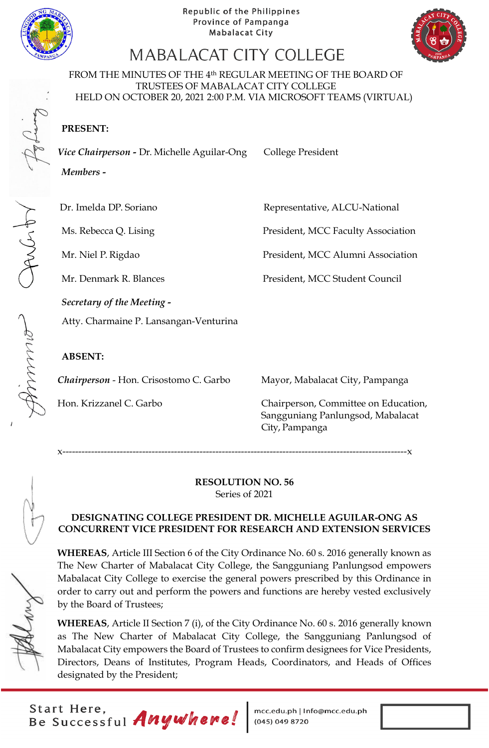

CANGAY



# MABALACAT CITY COLLEGE

FROM THE MINUTES OF THE 4th REGULAR MEETING OF THE BOARD OF TRUSTEES OF MABALACAT CITY COLLEGE HELD ON OCTOBER 20, 2021 2:00 P.M. VIA MICROSOFT TEAMS (VIRTUAL)

**PRESENT:**

Vice Chairperson - Dr. Michelle Aguilar-Ong College President

*Members* **-**

Dr. Imelda DP. Soriano Representative, ALCU-National

Ms. Rebecca Q. Lising President, MCC Faculty Association

Mr. Niel P. Rigdao President, MCC Alumni Association

Mr. Denmark R. Blances President, MCC Student Council

*Secretary of the Meeting -*

Atty. Charmaine P. Lansangan-Venturina

## **ABSENT:**

*Chairperson* - Hon. Crisostomo C. Garbo Mayor, Mabalacat City, Pampanga

Hon. Krizzanel C. Garbo Chairperson, Committee on Education, Sangguniang Panlungsod, Mabalacat City, Pampanga

x------------------------------------------------------------------------------------------------------------x

#### **RESOLUTION NO. 56** Series of 2021

#### **DESIGNATING COLLEGE PRESIDENT DR. MICHELLE AGUILAR-ONG AS CONCURRENT VICE PRESIDENT FOR RESEARCH AND EXTENSION SERVICES**

**WHEREAS**, Article III Section 6 of the City Ordinance No. 60 s. 2016 generally known as The New Charter of Mabalacat City College, the Sangguniang Panlungsod empowers Mabalacat City College to exercise the general powers prescribed by this Ordinance in order to carry out and perform the powers and functions are hereby vested exclusively by the Board of Trustees;

**WHEREAS**, Article II Section 7 (i), of the City Ordinance No. 60 s. 2016 generally known as The New Charter of Mabalacat City College, the Sangguniang Panlungsod of Mabalacat City empowers the Board of Trustees to confirm designees for Vice Presidents, Directors, Deans of Institutes, Program Heads, Coordinators, and Heads of Offices designated by the President;

Start Here,<br>Be Successful Anywhere!

mcc.edu.ph | Info@mcc.edu.ph<br>(045) 049 8720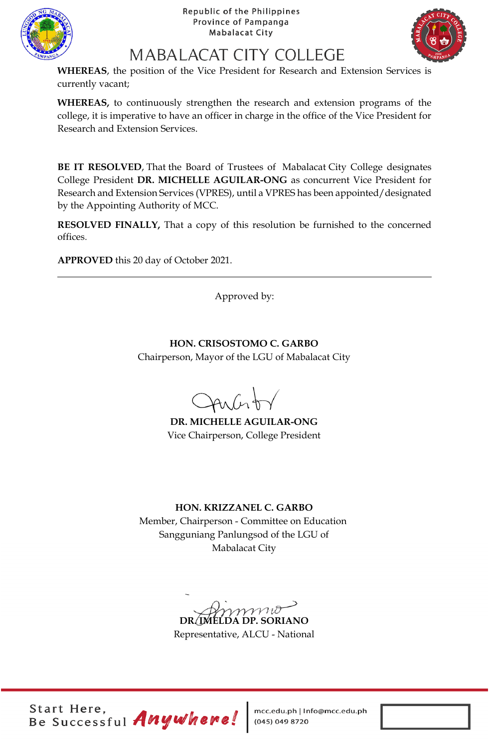



# MABALACAT CITY COLLEGE

**WHEREAS**, the position of the Vice President for Research and Extension Services is currently vacant;

**WHEREAS,** to continuously strengthen the research and extension programs of the college, it is imperative to have an officer in charge in the office of the Vice President for Research and Extension Services.

**BE IT RESOLVED**, That the Board of Trustees of Mabalacat City College designates College President **DR. MICHELLE AGUILAR-ONG** as concurrent Vice President for Research and Extension Services (VPRES), until a VPRES has been appointed/designated by the Appointing Authority of MCC.

**RESOLVED FINALLY,** That a copy of this resolution be furnished to the concerned offices.

**APPROVED** this 20 day of October 2021.

Approved by:

**HON. CRISOSTOMO C. GARBO** Chairperson, Mayor of the LGU of Mabalacat City

 $Anfn$ 

**DR. MICHELLE AGUILAR-ONG** Vice Chairperson, College President

## **HON. KRIZZANEL C. GARBO**

Member, Chairperson - Committee on Education Sangguniang Panlungsod of the LGU of Mabalacat City

mmo **DR. IMELDA DP. SORIANO**

Representative, ALCU - National

Start Here,<br>Be Successful Anywhere!

mcc.edu.ph | Info@mcc.edu.ph<br>(045) 049 8720